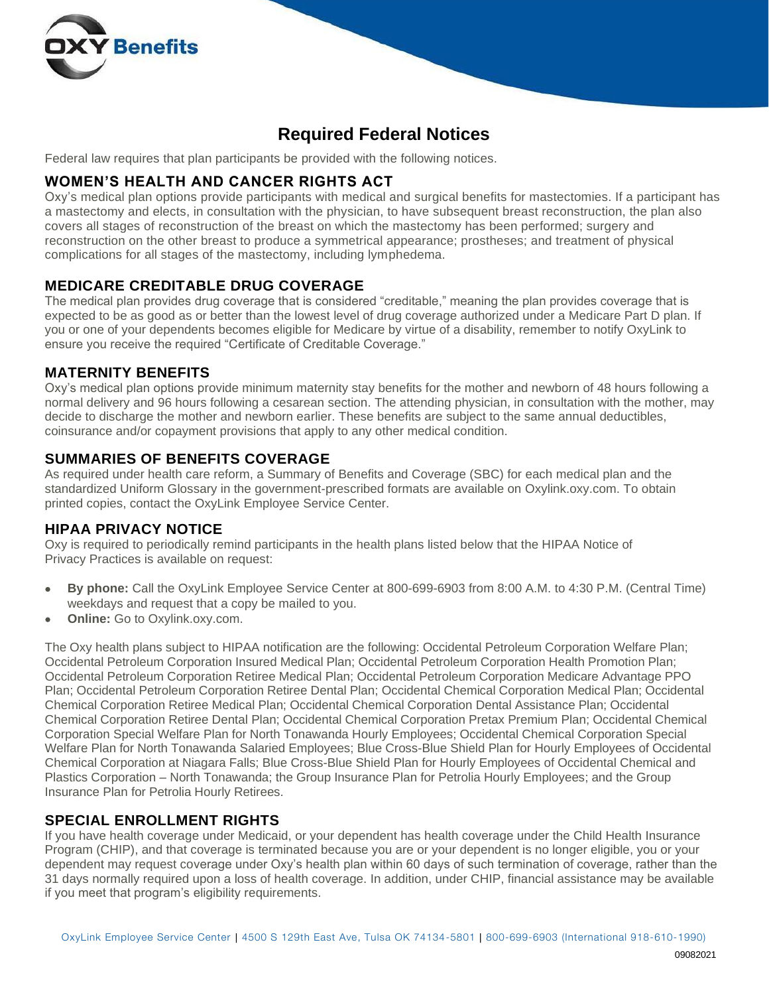

# **Required Federal Notices**

Federal law requires that plan participants be provided with the following notices.

#### **WOMEN'S HEALTH AND CANCER RIGHTS ACT**

Oxy's medical plan options provide participants with medical and surgical benefits for mastectomies. If a participant has a mastectomy and elects, in consultation with the physician, to have subsequent breast reconstruction, the plan also covers all stages of reconstruction of the breast on which the mastectomy has been performed; surgery and reconstruction on the other breast to produce a symmetrical appearance; prostheses; and treatment of physical complications for all stages of the mastectomy, including lymphedema.

#### **MEDICARE CREDITABLE DRUG COVERAGE**

The medical plan provides drug coverage that is considered "creditable," meaning the plan provides coverage that is expected to be as good as or better than the lowest level of drug coverage authorized under a Medicare Part D plan. If you or one of your dependents becomes eligible for Medicare by virtue of a disability, remember to notify OxyLink to ensure you receive the required "Certificate of Creditable Coverage."

#### **MATERNITY BENEFITS**

Oxy's medical plan options provide minimum maternity stay benefits for the mother and newborn of 48 hours following a normal delivery and 96 hours following a cesarean section. The attending physician, in consultation with the mother, may decide to discharge the mother and newborn earlier. These benefits are subject to the same annual deductibles, coinsurance and/or copayment provisions that apply to any other medical condition.

### **SUMMARIES OF BENEFITS COVERAGE**

As required under health care reform, a Summary of Benefits and Coverage (SBC) for each medical plan and the standardized Uniform Glossary in the government-prescribed formats are available on Oxylink.oxy.com. To obtain printed copies, contact the OxyLink Employee Service Center.

### **HIPAA PRIVACY NOTICE**

Oxy is required to periodically remind participants in the health plans listed below that the HIPAA Notice of Privacy Practices is available on request:

- **By phone:** Call the OxyLink Employee Service Center at 800-699-6903 from 8:00 A.M. to 4:30 P.M. (Central Time) weekdays and request that a copy be mailed to you.
- **Online:** Go to Oxylink.oxy.com.

The Oxy health plans subject to HIPAA notification are the following: Occidental Petroleum Corporation Welfare Plan; Occidental Petroleum Corporation Insured Medical Plan; Occidental Petroleum Corporation Health Promotion Plan; Occidental Petroleum Corporation Retiree Medical Plan; Occidental Petroleum Corporation Medicare Advantage PPO Plan; Occidental Petroleum Corporation Retiree Dental Plan; Occidental Chemical Corporation Medical Plan; Occidental Chemical Corporation Retiree Medical Plan; Occidental Chemical Corporation Dental Assistance Plan; Occidental Chemical Corporation Retiree Dental Plan; Occidental Chemical Corporation Pretax Premium Plan; Occidental Chemical Corporation Special Welfare Plan for North Tonawanda Hourly Employees; Occidental Chemical Corporation Special Welfare Plan for North Tonawanda Salaried Employees; Blue Cross-Blue Shield Plan for Hourly Employees of Occidental Chemical Corporation at Niagara Falls; Blue Cross-Blue Shield Plan for Hourly Employees of Occidental Chemical and Plastics Corporation – North Tonawanda; the Group Insurance Plan for Petrolia Hourly Employees; and the Group Insurance Plan for Petrolia Hourly Retirees.

### **SPECIAL ENROLLMENT RIGHTS**

If you have health coverage under Medicaid, or your dependent has health coverage under the Child Health Insurance Program (CHIP), and that coverage is terminated because you are or your dependent is no longer eligible, you or your dependent may request coverage under Oxy's health plan within 60 days of such termination of coverage, rather than the 31 days normally required upon a loss of health coverage. In addition, under CHIP, financial assistance may be available if you meet that program's eligibility requirements.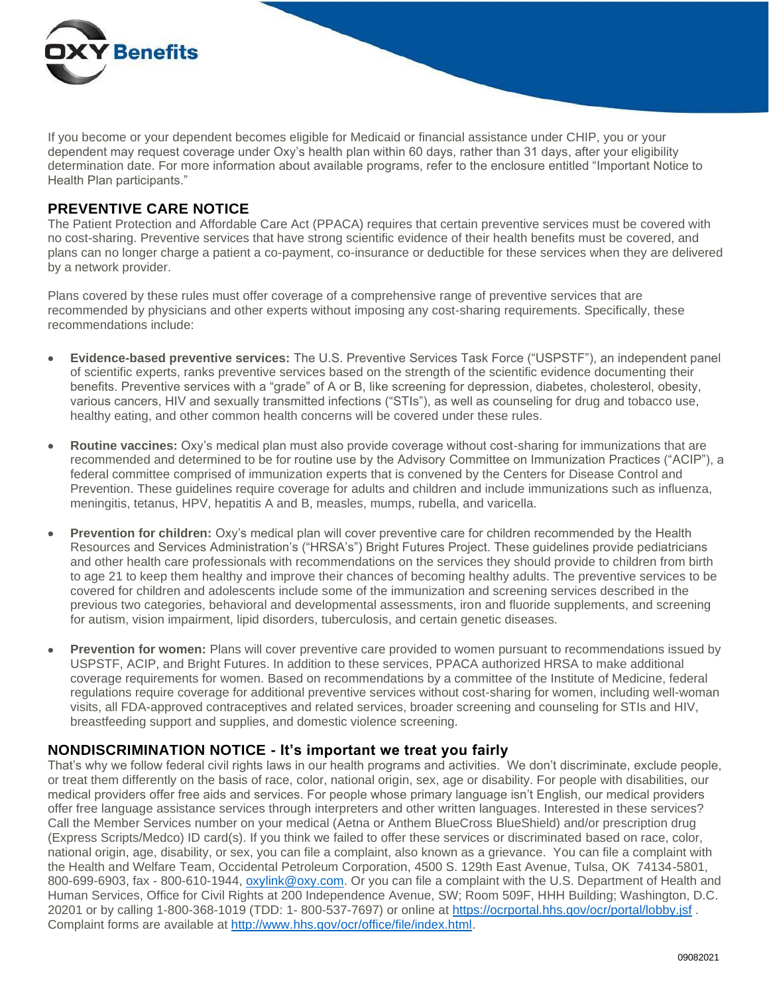

If you become or your dependent becomes eligible for Medicaid or financial assistance under CHIP, you or your dependent may request coverage under Oxy's health plan within 60 days, rather than 31 days, after your eligibility determination date. For more information about available programs, refer to the enclosure entitled "Important Notice to Health Plan participants."

## **PREVENTIVE CARE NOTICE**

The Patient Protection and Affordable Care Act (PPACA) requires that certain preventive services must be covered with no cost-sharing. Preventive services that have strong scientific evidence of their health benefits must be covered, and plans can no longer charge a patient a co-payment, co-insurance or deductible for these services when they are delivered by a network provider.

Plans covered by these rules must offer coverage of a comprehensive range of preventive services that are recommended by physicians and other experts without imposing any cost-sharing requirements. Specifically, these recommendations include:

- **Evidence-based preventive services:** The U.S. Preventive Services Task Force ("USPSTF"), an independent panel of scientific experts, ranks preventive services based on the strength of the scientific evidence documenting their benefits. Preventive services with a "grade" of A or B, like screening for depression, diabetes, cholesterol, obesity, various cancers, HIV and sexually transmitted infections ("STIs"), as well as counseling for drug and tobacco use, healthy eating, and other common health concerns will be covered under these rules.
- **Routine vaccines:** Oxy's medical plan must also provide coverage without cost-sharing for immunizations that are recommended and determined to be for routine use by the Advisory Committee on Immunization Practices ("ACIP"), a federal committee comprised of immunization experts that is convened by the Centers for Disease Control and Prevention. These guidelines require coverage for adults and children and include immunizations such as influenza, meningitis, tetanus, HPV, hepatitis A and B, measles, mumps, rubella, and varicella.
- **Prevention for children:** Oxy's medical plan will cover preventive care for children recommended by the Health Resources and Services Administration's ("HRSA's") Bright Futures Project. These guidelines provide pediatricians and other health care professionals with recommendations on the services they should provide to children from birth to age 21 to keep them healthy and improve their chances of becoming healthy adults. The preventive services to be covered for children and adolescents include some of the immunization and screening services described in the previous two categories, behavioral and developmental assessments, iron and fluoride supplements, and screening for autism, vision impairment, lipid disorders, tuberculosis, and certain genetic diseases.
- **Prevention for women:** Plans will cover preventive care provided to women pursuant to recommendations issued by USPSTF, ACIP, and Bright Futures. In addition to these services, PPACA authorized HRSA to make additional coverage requirements for women. Based on recommendations by a committee of the Institute of Medicine, federal regulations require coverage for additional preventive services without cost-sharing for women, including well-woman visits, all FDA-approved contraceptives and related services, broader screening and counseling for STIs and HIV, breastfeeding support and supplies, and domestic violence screening.

### **NONDISCRIMINATION NOTICE - It's important we treat you fairly**

That's why we follow federal civil rights laws in our health programs and activities. We don't discriminate, exclude people, or treat them differently on the basis of race, color, national origin, sex, age or disability. For people with disabilities, our medical providers offer free aids and services. For people whose primary language isn't English, our medical providers offer free language assistance services through interpreters and other written languages. Interested in these services? Call the Member Services number on your medical (Aetna or Anthem BlueCross BlueShield) and/or prescription drug (Express Scripts/Medco) ID card(s). If you think we failed to offer these services or discriminated based on race, color, national origin, age, disability, or sex, you can file a complaint, also known as a grievance. You can file a complaint with the Health and Welfare Team, Occidental Petroleum Corporation, 4500 S. 129th East Avenue, Tulsa, OK 74134-5801, 800-699-6903, fax - 800-610-1944, [oxylink@oxy.com.](mailto:oxylink@oxy.com) Or you can file a complaint with the U.S. Department of Health and Human Services, Office for Civil Rights at 200 Independence Avenue, SW; Room 509F, HHH Building; Washington, D.C. 20201 or by calling 1-800-368-1019 (TDD: 1- 800-537-7697) or online at<https://ocrportal.hhs.gov/ocr/portal/lobby.jsf> . Complaint forms are available at [http://www.hhs.gov/ocr/office/file/index.html.](http://www.hhs.gov/ocr/office/file/index.html)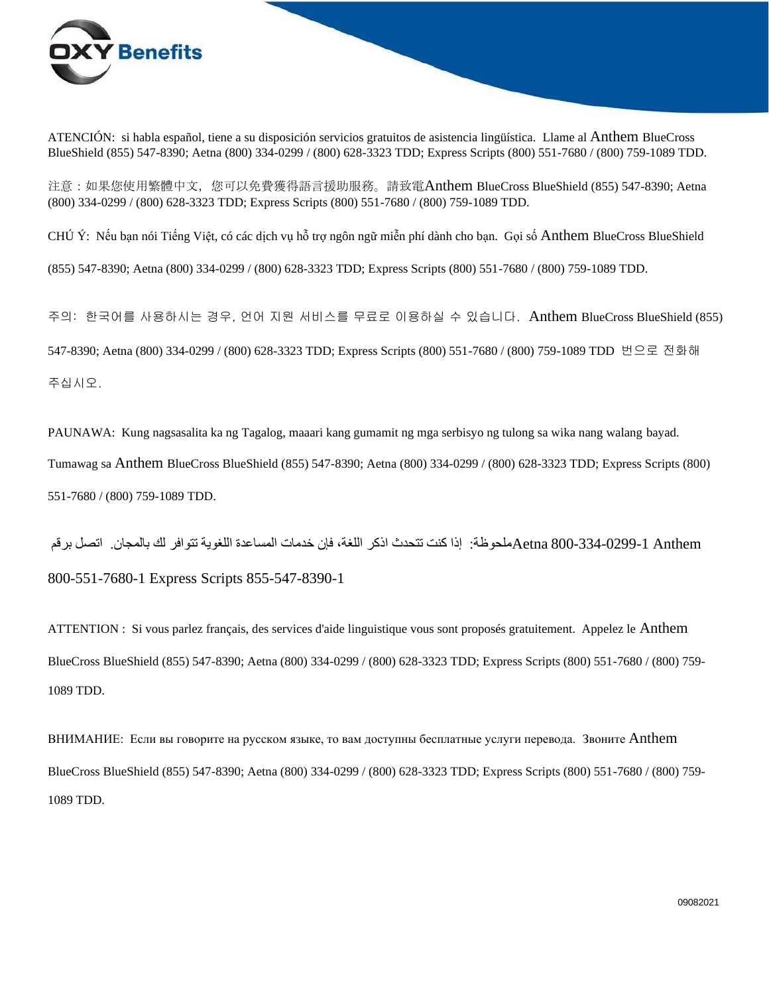

ATENCIÓN: si habla español, tiene a su disposición servicios gratuitos de asistencia lingüística. Llame al Anthem BlueCross BlueShield (855) 547-8390; Aetna (800) 334-0299 / (800) 628-3323 TDD; Express Scripts (800) 551-7680 / (800) 759-1089 TDD.

注意:如果您使用繁體中文,您可以免費獲得語言援助服務。請致電Anthem BlueCross BlueShield (855) 547-8390; Aetna (800) 334-0299 / (800) 628-3323 TDD; Express Scripts (800) 551-7680 / (800) 759-1089 TDD.

CHÚ Ý: Nếu bạn nói Tiếng Việt, có các dịch vụ hỗ trợ ngôn ngữ miễn phí dành cho bạn. Gọi số Anthem BlueCross BlueShield

(855) 547-8390; Aetna (800) 334-0299 / (800) 628-3323 TDD; Express Scripts (800) 551-7680 / (800) 759-1089 TDD.

주의: 한국어를 사용하시는 경우, 언어 지원 서비스를 무료로 이용하실 수 있습니다. Anthem BlueCross BlueShield (855) 547-8390; Aetna (800) 334-0299 / (800) 628-3323 TDD; Express Scripts (800) 551-7680 / (800) 759-1089 TDD 번으로 전화해 주십시오.

PAUNAWA: Kung nagsasalita ka ng Tagalog, maaari kang gumamit ng mga serbisyo ng tulong sa wika nang walang bayad. Tumawag sa Anthem BlueCross BlueShield (855) 547-8390; Aetna (800) 334-0299 / (800) 628-3323 TDD; Express Scripts (800) 551-7680 / (800) 759-1089 TDD.

 Anthem 800-334-0299-1 Aetnaملحوظة: إذا كنت تتحدث اذكر اللغة، فإن خدمات المساعدة اللغوية تتوافر لك بالمجان. اتصل برقم 800-551-7680-1 Express Scripts 855-547-8390-1

ATTENTION : Si vous parlez français, des services d'aide linguistique vous sont proposés gratuitement. Appelez le Anthem BlueCross BlueShield (855) 547-8390; Aetna (800) 334-0299 / (800) 628-3323 TDD; Express Scripts (800) 551-7680 / (800) 759- 1089 TDD.

ВНИМАНИЕ: Если вы говорите на русском языке, то вам доступны бесплатные услуги перевода. Звоните Anthem BlueCross BlueShield (855) 547-8390; Aetna (800) 334-0299 / (800) 628-3323 TDD; Express Scripts (800) 551-7680 / (800) 759- 1089 TDD.